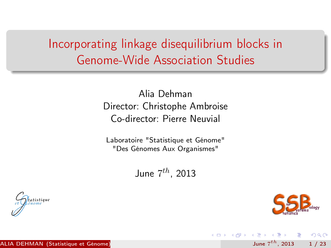## Incorporating linkage disequilibrium blocks in Genome-Wide Association Studies

Alia Dehman Director: Christophe Ambroise Co-director: Pierre Neuvial

Laboratoire "Statistique et Génome" "Des Génomes Aux Organismes"

June  $7^{th}$ , 2013





<span id="page-0-0"></span> $QQ$ 

June  $7^{th}$ , 2013 1 / 23

 $\mathcal{A} \oplus \mathcal{B} \rightarrow \mathcal{A} \oplus \mathcal{B} \rightarrow \mathcal{A} \oplus \mathcal{B}$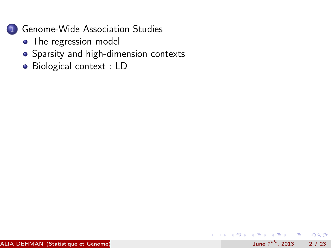

- [The regression model](#page-6-0)
- [Sparsity and high-dimension contexts](#page-7-0)

June  $7^{th}$ , 2013 2 / 23

 $E = 990$ 

 $4$  ロ }  $4$   $4$   $\oplus$  }  $4$   $\oplus$  }  $4$   $\oplus$  }

[Biological context : LD](#page-8-0)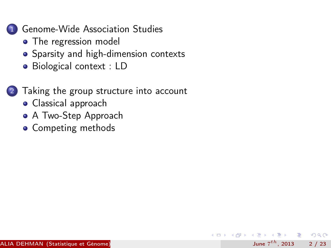

- [The regression model](#page-6-0)
- [Sparsity and high-dimension contexts](#page-7-0)
- [Biological context : LD](#page-8-0)

### [Taking the group structure into account](#page-12-0)

June  $7^{th}$ , 2013 2 / 23

- 3

 $\Omega$ 

化重新润滑脂

4 何 ▶

- [Classical approach](#page-13-0)
- [A Two-Step Approach](#page-14-0)
- [Competing methods](#page-15-0)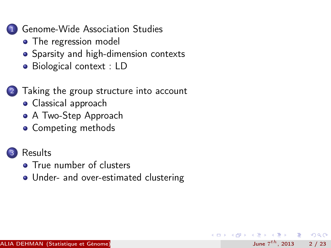

- [The regression model](#page-6-0)
- [Sparsity and high-dimension contexts](#page-7-0)
- [Biological context : LD](#page-8-0)

### [Taking the group structure into account](#page-12-0)

- [Classical approach](#page-13-0)
- [A Two-Step Approach](#page-14-0)
- [Competing methods](#page-15-0)
- **[Results](#page-18-0)** 
	-
	- **[True number of clusters](#page-19-0)**
	- [Under- and over-estimated clustering](#page-20-0)

June  $7^{th}$ , 2013 2 / 23

 $\Omega$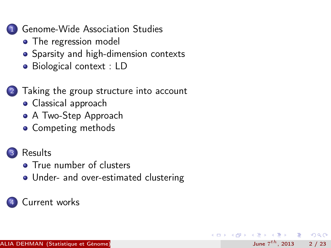

- [The regression model](#page-6-0)
- [Sparsity and high-dimension contexts](#page-7-0)
- [Biological context : LD](#page-8-0)

### [Taking the group structure into account](#page-12-0)

- [Classical approach](#page-13-0)
- [A Two-Step Approach](#page-14-0)
- [Competing methods](#page-15-0)

### **[Results](#page-18-0)**

- **[True number of clusters](#page-19-0)**
- [Under- and over-estimated clustering](#page-20-0)

June  $7^{th}$ , 2013 2 / 23

 $\Omega$ 

### [Current works](#page-22-0)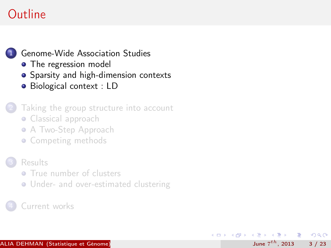## Outline

#### [Genome-Wide Association Studies](#page-5-0)

- [The regression model](#page-6-0)
- **•** [Sparsity and high-dimension contexts](#page-7-0)
- **•** [Biological context : LD](#page-8-0)

#### [Taking the group structure into account](#page-12-0)

- [Classical approach](#page-13-0)
- [A Two-Step Approach](#page-14-0)
- [Competing methods](#page-15-0)

#### **[Results](#page-18-0)**

- **[True number of clusters](#page-19-0)**
- **[Under- and over-estimated clustering](#page-20-0)**

June  $7^{th}$ , 2013 3 / 23

<span id="page-5-0"></span> $\Omega$ 

K 등 > 'K 등 >

#### [Current works](#page-22-0)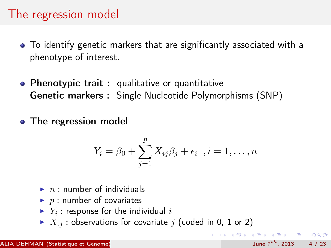### The regression model

- To identify genetic markers that are significantly associated with a phenotype of interest.
- Phenotypic trait: qualitative or quantitative Genetic markers : Single Nucleotide Polymorphisms (SNP)
- The regression model

$$
Y_i = \beta_0 + \sum_{j=1}^p X_{ij}\beta_j + \epsilon_i \quad i = 1, \dots, n
$$

<span id="page-6-0"></span>June  $7^{th}$ , 2013 4 / 23

K ロ ▶ K @ ▶ K 할 ▶ K 할 ▶ ... 할 → 9 Q @

- $\blacktriangleright$  n: number of individuals
- $\blacktriangleright$  p : number of covariates
- $\blacktriangleright$   $Y_i$ : response for the individual  $i$
- $\blacktriangleright$   $X_{i}$ : observations for covariate j (coded in 0, 1 or 2)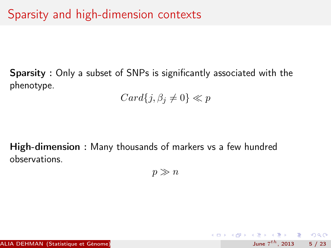Sparsity : Only a subset of SNPs is significantly associated with the phenotype.

 $Card{j, \beta_j \neq 0} \ll p$ 

High-dimension : Many thousands of markers vs a few hundred observations.

 $p \gg n$ 

<span id="page-7-0"></span>June  $7^{th}$ , 2013 5 / 23

K ロ > K @ > K 할 > K 할 > → 할 → K Q Q @

ALIA DEHMAN (Statistique et Génome)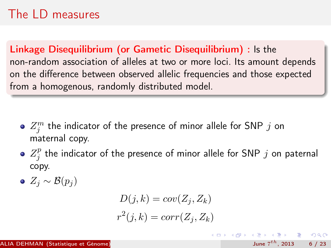## The LD measures

Linkage Disequilibrium (or Gametic Disequilibrium) : Is the non-random association of alleles at two or more loci. Its amount depends on the difference between observed allelic frequencies and those expected from a homogenous, randomly distributed model.

- $Z_j^m$  the indicator of the presence of minor allele for SNP  $j$  on maternal copy.
- $Z_i^p$  $j \atop j$  the indicator of the presence of minor allele for SNP  $j$  on paternal copy.
- $\bullet$  Z<sub>i</sub> ~ B(p<sub>i</sub>)

$$
D(j,k) = cov(Z_j, Z_k)
$$
  

$$
r^2(j,k) = corr(Z_j, Z_k)
$$

<span id="page-8-0"></span>K ロ X K 레 X K 호 X K 호 X X 호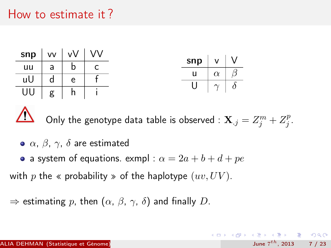### How to estimate it ?

| $\mathsf{sup}$   vv   vV   VV |              |     | $\mathsf{sup} \mid v \mid V$ |                             |  |
|-------------------------------|--------------|-----|------------------------------|-----------------------------|--|
| uu                            | $\mathsf{a}$ | b   |                              |                             |  |
| uU                            | $\mathsf{d}$ | e   | u –                          | $\alpha$                    |  |
| $UU \mid g \mid$              |              | h i |                              | $U \mid \gamma \mid \delta$ |  |

Only the genotype data table is observed :  $\mathbf{X}_{\cdot j} = Z_j^m + Z_j^p$  $\frac{p}{j}$ .

June  $7^{th}$ , 2013 7 / 23

K ロ > K d > K 글 > K 글 > → 글 → K O Q O

- $\bullet$   $\alpha$ ,  $\beta$ ,  $\gamma$ ,  $\delta$  are estimated
- a system of equations. exmpl :  $\alpha = 2a + b + d + pe$

with p the « probability » of the haplotype  $(uv, UV)$ .

 $\Rightarrow$  estimating p, then  $(\alpha, \beta, \gamma, \delta)$  and finally D.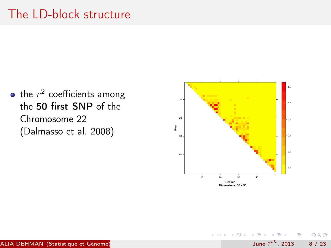## The LD-block structure

the  $r^2$  coefficients among the 50 first SNP of the Chromosome 22 (Dalmasso et al. 2008)



4 D F

June  $7^{th}$ , 2013 8 / 23

 $\Omega$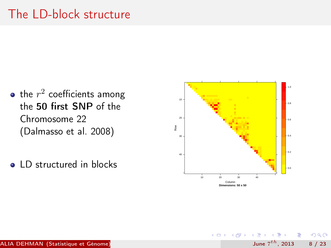## The LD-block structure

- the  $r^2$  coefficients among the 50 first SNP of the Chromosome 22 (Dalmasso et al. 2008)
- LD structured in blocks



4 D F

June  $7^{th}$ , 2013 8 / 23

 $200$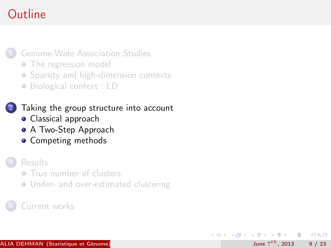## Outline

#### [Genome-Wide Association Studies](#page-5-0)

- [The regression model](#page-6-0)
- [Sparsity and high-dimension contexts](#page-7-0)
- [Biological context : LD](#page-8-0)

#### [Taking the group structure into account](#page-12-0)

- **•** [Classical approach](#page-13-0)
- **[A Two-Step Approach](#page-14-0)**
- **[Competing methods](#page-15-0)**

#### **[Results](#page-18-0)**

- **[True number of clusters](#page-19-0)**
- **[Under- and over-estimated clustering](#page-20-0)**

June  $7^{th}$ , 2013 9 / 23

<span id="page-12-0"></span> $200$ 

化重新润滑脂

#### [Current works](#page-22-0)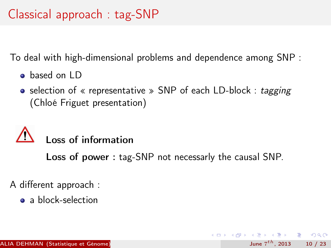To deal with high-dimensional problems and dependence among SNP :

- **o** based on LD
- selection of « representative » SNP of each LD-block : tagging (Chloé Friguet presentation)

# Loss of information

Loss of power : tag-SNP not necessarly the causal SNP.

June  $7^{th}$ , 2013 10 / 23

<span id="page-13-0"></span> $\Omega$ 

 $\mathbf{A} \cap \mathbf{B} \rightarrow \mathbf{A} \oplus \mathbf{B} \rightarrow \mathbf{A} \oplus \mathbf{B} \rightarrow \mathbf{B} \oplus \mathbf{B} \oplus \mathbf{B} \oplus \mathbf{B} \oplus \mathbf{B} \oplus \mathbf{B} \oplus \mathbf{B} \oplus \mathbf{B} \oplus \mathbf{B} \oplus \mathbf{B} \oplus \mathbf{B} \oplus \mathbf{B} \oplus \mathbf{B} \oplus \mathbf{B} \oplus \mathbf{B} \oplus \mathbf{B} \oplus \mathbf{B} \oplus \mathbf{B} \oplus \mathbf{B} \opl$ 

A different approach :

**a** a block-selection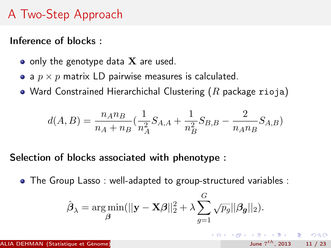## A Two-Step Approach

Inference of blocks :

- $\bullet$  only the genotype data  $X$  are used.
- a  $p \times p$  matrix LD pairwise measures is calculated.
- Ward Constrained Hierarchichal Clustering  $(R)$  package rioja)

$$
d(A, B) = \frac{n_A n_B}{n_A + n_B} \left(\frac{1}{n_A^2} S_{A,A} + \frac{1}{n_B^2} S_{B,B} - \frac{2}{n_A n_B} S_{A,B}\right)
$$

Selection of blocks associated with phenotype :

The Group Lasso : well-adapted to group-structured variables :

$$
\hat{\boldsymbol{\beta}}_{\lambda} = \argmin_{\boldsymbol{\beta}}(||\mathbf{y} - \mathbf{X}\boldsymbol{\beta}||_2^2 + \lambda \sum_{g=1}^G \sqrt{p_g} ||\boldsymbol{\beta_g}||_2).
$$

June  $7^{th}$ , 2013 11 / 23

<span id="page-14-0"></span> $\Omega$ 

( ロ ) ( 何 ) ( ヨ ) ( ヨ ) - ヨ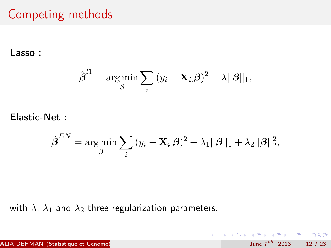## Competing methods

Lasso :

$$
\hat{\boldsymbol{\beta}}^{l1} = \argmin_{\beta} \sum_{i} (y_i - \mathbf{X}_{i.} \boldsymbol{\beta})^2 + \lambda ||\boldsymbol{\beta}||_1,
$$

Elastic-Net :

$$
\hat{\boldsymbol{\beta}}^{EN} = \argmin_{\beta} \sum_{i} (y_i - \mathbf{X}_{i.}\boldsymbol{\beta})^2 + \lambda_1 ||\boldsymbol{\beta}||_1 + \lambda_2 ||\boldsymbol{\beta}||_2^2,
$$

<span id="page-15-0"></span>June  $7^{th}$ , 2013 12 / 23

K ロ ▶ K @ ▶ K 할 ▶ K 할 ▶ 이 할 → 900

with  $\lambda$ ,  $\lambda_1$  and  $\lambda_2$  three regularization parameters.

**ALIA DEHMAN (Statistique et Génome)**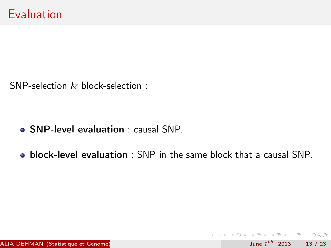SNP-selection & block-selection :

- SNP-level evaluation : causal SNP.
- **block-level evaluation** : SNP in the same block that a causal SNP.

June  $7^{th}$ , 2013 13 / 23

K ロ ▶ K @ ▶ K 할 ▶ K 할 ▶ ... 할 → 9 Q @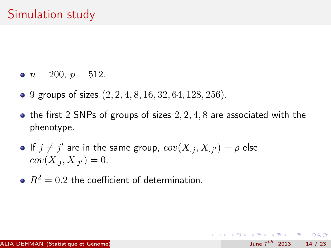- $n = 200, p = 512.$
- 9 groups of sizes  $(2, 2, 4, 8, 16, 32, 64, 128, 256)$ .
- the first 2 SNPs of groups of sizes  $2, 2, 4, 8$  are associated with the phenotype.

June  $7^{th}$ , 2013 14 / 23

K ロ > K d > K 글 > K 글 > → 글 → K O Q O

- If  $j \neq j'$  are in the same group,  $cov(X_{.j}, X_{.j'}) = \rho$  else  $cov(X_{.j}, X_{.j'}) = 0.$
- $R^2 = 0.2$  the coefficient of determination.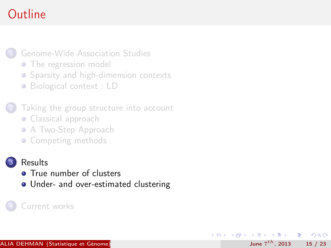## Outline

#### [Genome-Wide Association Studies](#page-5-0)

- [The regression model](#page-6-0)
- [Sparsity and high-dimension contexts](#page-7-0)
- [Biological context : LD](#page-8-0)

#### [Taking the group structure into account](#page-12-0)

- [Classical approach](#page-13-0)
- [A Two-Step Approach](#page-14-0)
- [Competing methods](#page-15-0)

#### **[Results](#page-18-0)**

- **[True number of clusters](#page-19-0)**
- [Under- and over-estimated clustering](#page-20-0)

June  $7^{th}$ , 2013 15 / 23

<span id="page-18-0"></span> $\Omega$ 

 $\langle \langle \langle \langle \langle \rangle \rangle \rangle \rangle$  and  $\langle \langle \rangle \rangle$  and  $\langle \rangle$  and  $\langle \rangle$ 

4 D F

#### [Current works](#page-22-0)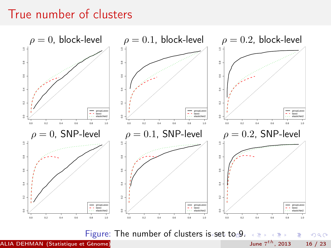### True number of clusters



**ALIA DEHMAN (Statistique et Génome)** 

<span id="page-19-0"></span>June  $7^{th}$ , 2013 16 / 23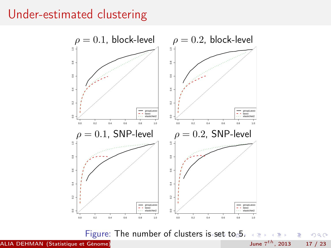### Under-estimated clustering



Figure: The number of clusters i[s s](#page-19-0)e[t](#page-21-0) [to](#page-19-0) [5](#page-20-0)[.](#page-21-0)  $\Rightarrow$ ÷,

ALIA DEHMAN (Statistique et Génome)

June  $7^{th}$ , 2013 17 / 23

<span id="page-20-0"></span> $299$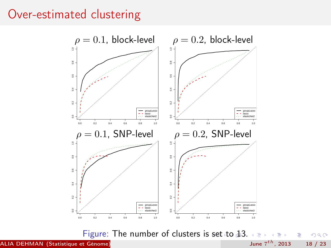### Over-estimated clustering



Figure: The number of clusters is [se](#page-20-0)[t t](#page-22-0)[o](#page-20-0)  $43.$  $43.$  $\rightarrow$   $\rightarrow$ ÷  $\mathbf{r}_\mathrm{c}$ E.  $299$ 

ALIA DEHMAN (Statistique et Génome)

<span id="page-21-0"></span>June  $7^{th}$ , 2013 18 / 23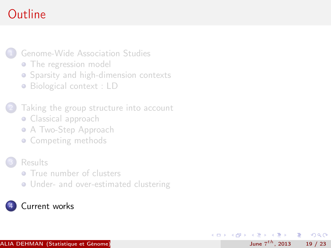## Outline

#### [Genome-Wide Association Studies](#page-5-0)

- [The regression model](#page-6-0)
- [Sparsity and high-dimension contexts](#page-7-0)
- [Biological context : LD](#page-8-0)

#### [Taking the group structure into account](#page-12-0)

- [Classical approach](#page-13-0)
- [A Two-Step Approach](#page-14-0)
- [Competing methods](#page-15-0)

#### **[Results](#page-18-0)**

- **[True number of clusters](#page-19-0)**
- **[Under- and over-estimated clustering](#page-20-0)**

June  $7^{th}$ , 2013 19 / 23

э

<span id="page-22-0"></span> $\Omega$ 

 $\sqrt{m}$  )  $\sqrt{m}$  )  $\sqrt{m}$  )

4 D F

### [Current works](#page-22-0)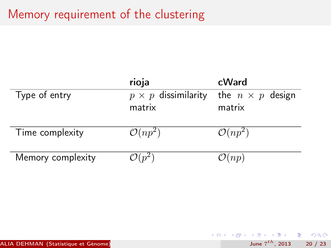## Memory requirement of the clustering

|                   | rioja                      | cWard                   |
|-------------------|----------------------------|-------------------------|
| Type of entry     | $p \times p$ dissimilarity | the $n \times p$ design |
|                   | matrix                     | matrix                  |
|                   |                            |                         |
| Time complexity   | $\mathcal{O}(np^2)$        | $\mathcal{O}(np^2)$     |
| Memory complexity | $\mathcal{O}(n^2)$         | $\mathcal{O}(np)$       |
|                   |                            |                         |

June  $7^{th}$ , 2013 20 / 23

 $299$ 

イロト 不優 ト 不思 ト 不思 トー 語

ALIA DEHMAN (Statistique et Génome)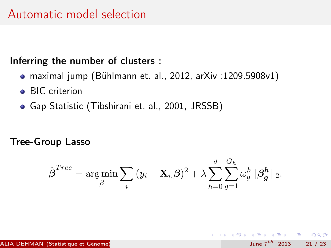#### Inferring the number of clusters :

- maximal jump (Bühlmann et. al., 2012, arXiv :1209.5908v1)
- **•** BIC criterion
- Gap Statistic (Tibshirani et. al., 2001, JRSSB)

#### Tree-Group Lasso

$$
\hat{\boldsymbol{\beta}}^{Tree} = \argmin_{\beta} \sum_{i} (y_i - \mathbf{X}_{i.} \boldsymbol{\beta})^2 + \lambda \sum_{h=0}^{d} \sum_{g=1}^{G_h} \omega_g^h ||\boldsymbol{\beta_g^h}||_2.
$$

<span id="page-24-0"></span> $QQ$ 

**K ロ ト K 何 ト K ヨ ト K ヨ ト ニヨ**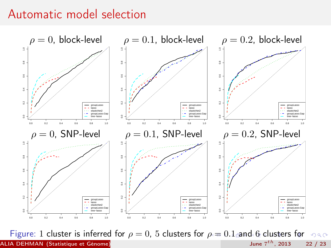### Automatic model selection



<span id="page-25-0"></span>Figure: [1](#page-24-0) cluster is i[n](#page-26-0)ferre[d](#page-21-0) f[or](#page-26-0)  $\rho = 0$  $\rho = 0$ , 5 [cl](#page-26-0)[u](#page-21-0)[st](#page-22-0)[er](#page-26-0)[s f](#page-0-0)or  $\rho = 0.1$  [a](#page-25-0)nd [6](#page-22-0) clusters for  $\rho \circ \rho$ ALIA DEHMAN (Statistique et Génome)  $\rho$  = 0.2 June 7 $^{th}$ , 2013  $22 / 23$